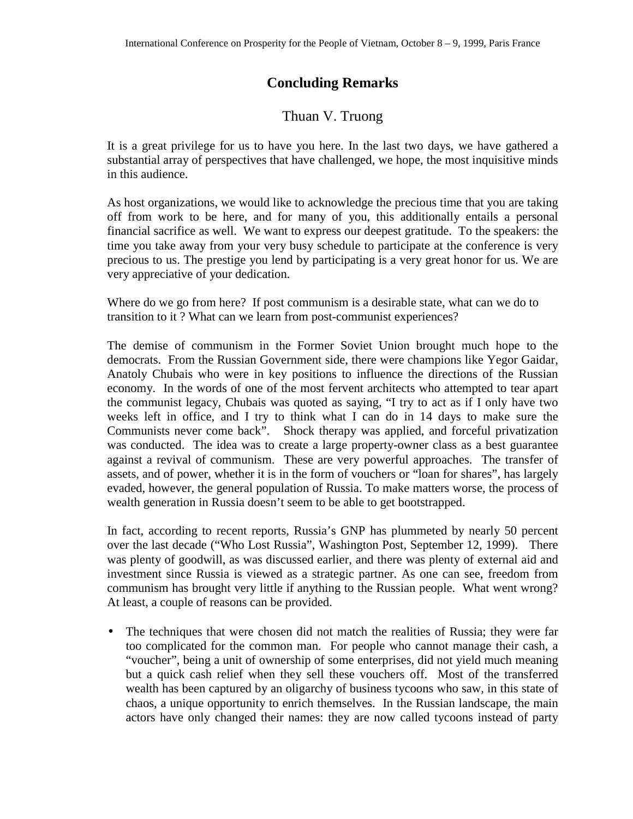## **Concluding Remarks**

## Thuan V. Truong

It is a great privilege for us to have you here. In the last two days, we have gathered a substantial array of perspectives that have challenged, we hope, the most inquisitive minds in this audience.

As host organizations, we would like to acknowledge the precious time that you are taking off from work to be here, and for many of you, this additionally entails a personal financial sacrifice as well. We want to express our deepest gratitude. To the speakers: the time you take away from your very busy schedule to participate at the conference is very precious to us. The prestige you lend by participating is a very great honor for us. We are very appreciative of your dedication.

Where do we go from here? If post communism is a desirable state, what can we do to transition to it ? What can we learn from post-communist experiences?

The demise of communism in the Former Soviet Union brought much hope to the democrats. From the Russian Government side, there were champions like Yegor Gaidar, Anatoly Chubais who were in key positions to influence the directions of the Russian economy. In the words of one of the most fervent architects who attempted to tear apart the communist legacy, Chubais was quoted as saying, "I try to act as if I only have two weeks left in office, and I try to think what I can do in 14 days to make sure the Communists never come back". Shock therapy was applied, and forceful privatization was conducted. The idea was to create a large property-owner class as a best guarantee against a revival of communism. These are very powerful approaches. The transfer of assets, and of power, whether it is in the form of vouchers or "loan for shares", has largely evaded, however, the general population of Russia. To make matters worse, the process of wealth generation in Russia doesn't seem to be able to get bootstrapped.

In fact, according to recent reports, Russia's GNP has plummeted by nearly 50 percent over the last decade ("Who Lost Russia", Washington Post, September 12, 1999). There was plenty of goodwill, as was discussed earlier, and there was plenty of external aid and investment since Russia is viewed as a strategic partner. As one can see, freedom from communism has brought very little if anything to the Russian people. What went wrong? At least, a couple of reasons can be provided.

• The techniques that were chosen did not match the realities of Russia; they were far too complicated for the common man. For people who cannot manage their cash, a "voucher", being a unit of ownership of some enterprises, did not yield much meaning but a quick cash relief when they sell these vouchers off. Most of the transferred wealth has been captured by an oligarchy of business tycoons who saw, in this state of chaos, a unique opportunity to enrich themselves. In the Russian landscape, the main actors have only changed their names: they are now called tycoons instead of party